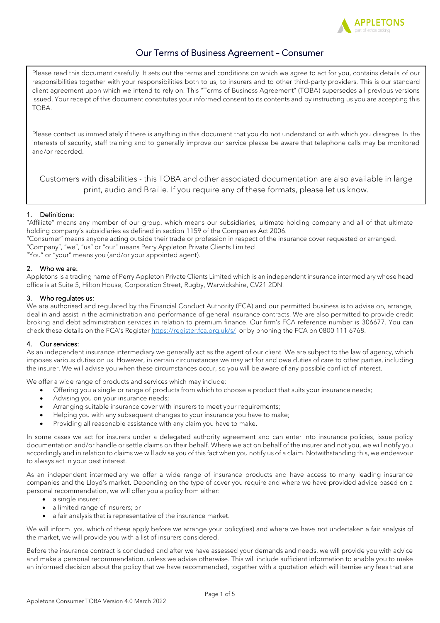

# Our Terms of Business Agreement – Consumer

Please read this document carefully. It sets out the terms and conditions on which we agree to act for you, contains details of our responsibilities together with your responsibilities both to us, to insurers and to other third-party providers. This is our standard client agreement upon which we intend to rely on. This "Terms of Business Agreement" (TOBA) supersedes all previous versions issued. Your receipt of this document constitutes your informed consent to its contents and by instructing us you are accepting this TOBA.

Please contact us immediately if there is anything in this document that you do not understand or with which you disagree. In the interests of security, staff training and to generally improve our service please be aware that telephone calls may be monitored and/or recorded.

Customers with disabilities - this TOBA and other associated documentation are also available in large print, audio and Braille. If you require any of these formats, please let us know.

# 1. Definitions:

"Affiliate" means any member of our group, which means our subsidiaries, ultimate holding company and all of that ultimate holding company's subsidiaries as defined in section 1159 of the Companies Act 2006.

"Consumer" means anyone acting outside their trade or profession in respect of the insurance cover requested or arranged. "Company", "we", "us" or "our" means Perry Appleton Private Clients Limited

"You" or "your" means you (and/or your appointed agent).

# 2. Who we are:

Appletons is a trading name of Perry Appleton Private Clients Limited which is an independent insurance intermediary whose head office is at Suite 5, Hilton House, Corporation Street, Rugby, Warwickshire, CV21 2DN.

# 3. Who regulates us:

We are authorised and regulated by the Financial Conduct Authority (FCA) and our permitted business is to advise on, arrange, deal in and assist in the administration and performance of general insurance contracts. We are also permitted to provide credit broking and debt administration services in relation to premium finance. Our firm's FCA reference number is 306677. You can check these details on the FCA's Register <https://register.fca.org.uk/s/>or by phoning the FCA on 0800 111 6768.

# 4. Our services:

As an independent insurance intermediary we generally act as the agent of our client. We are subject to the law of agency, which imposes various duties on us. However, in certain circumstances we may act for and owe duties of care to other parties, including the insurer. We will advise you when these circumstances occur, so you will be aware of any possible conflict of interest.

We offer a wide range of products and services which may include:

- Offering you a single or range of products from which to choose a product that suits your insurance needs;
- Advising you on your insurance needs;
- Arranging suitable insurance cover with insurers to meet your requirements;
- Helping you with any subsequent changes to your insurance you have to make;
- Providing all reasonable assistance with any claim you have to make.

In some cases we act for insurers under a delegated authority agreement and can enter into insurance policies, issue policy documentation and/or handle or settle claims on their behalf. Where we act on behalf of the insurer and not you, we will notify you accordingly and in relation to claims we will advise you of this fact when you notify us of a claim. Notwithstanding this, we endeavour to always act in your best interest.

As an independent intermediary we offer a wide range of insurance products and have access to many leading insurance companies and the Lloyd's market. Depending on the type of cover you require and where we have provided advice based on a personal recommendation, we will offer you a policy from either:

- a single insurer;
- a limited range of insurers; or
- a fair analysis that is representative of the insurance market.

We will inform you which of these apply before we arrange your policy(ies) and where we have not undertaken a fair analysis of the market, we will provide you with a list of insurers considered.

Before the insurance contract is concluded and after we have assessed your demands and needs, we will provide you with advice and make a personal recommendation, unless we advise otherwise. This will include sufficient information to enable you to make an informed decision about the policy that we have recommended, together with a quotation which will itemise any fees that are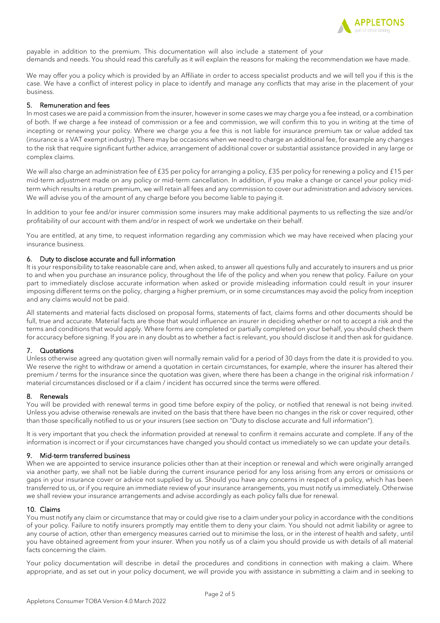

payable in addition to the premium. This documentation will also include a statement of your demands and needs. You should read this carefully as it will explain the reasons for making the recommendation we have made.

We may offer you a policy which is provided by an Affiliate in order to access specialist products and we will tell you if this is the case. We have a conflict of interest policy in place to identify and manage any conflicts that may arise in the placement of your business.

## 5. Remuneration and fees

In most cases we are paid a commission from the insurer, however in some cases we may charge you a fee instead, or a combination of both. If we charge a fee instead of commission or a fee and commission, we will confirm this to you in writing at the time of incepting or renewing your policy. Where we charge you a fee this is not liable for insurance premium tax or value added tax (insurance is a VAT exempt industry). There may be occasions when we need to charge an additional fee, for example any changes to the risk that require significant further advice, arrangement of additional cover or substantial assistance provided in any large or complex claims.

We will also charge an administration fee of £35 per policy for arranging a policy, £35 per policy for renewing a policy and £15 per mid-term adjustment made on any policy or mid-term cancellation. In addition, if you make a change or cancel your policy midterm which results in a return premium, we will retain all fees and any commission to cover our administration and advisory services. We will advise you of the amount of any charge before you become liable to paying it.

In addition to your fee and/or insurer commission some insurers may make additional payments to us reflecting the size and/or profitability of our account with them and/or in respect of work we undertake on their behalf.

You are entitled, at any time, to request information regarding any commission which we may have received when placing your insurance business.

## 6. Duty to disclose accurate and full information

It is your responsibility to take reasonable care and, when asked, to answer all questions fully and accurately to insurers and us prior to and when you purchase an insurance policy, throughout the life of the policy and when you renew that policy. Failure on your part to immediately disclose accurate information when asked or provide misleading information could result in your insurer imposing different terms on the policy, charging a higher premium, or in some circumstances may avoid the policy from inception and any claims would not be paid.

All statements and material facts disclosed on proposal forms, statements of fact, claims forms and other documents should be full, true and accurate. Material facts are those that would influence an insurer in deciding whether or not to accept a risk and the terms and conditions that would apply. Where forms are completed or partially completed on your behalf, you should check them for accuracy before signing. If you are in any doubt as to whether a fact is relevant, you should disclose it and then ask for guidance.

# 7. Quotations

Unless otherwise agreed any quotation given will normally remain valid for a period of 30 days from the date it is provided to you. We reserve the right to withdraw or amend a quotation in certain circumstances, for example, where the insurer has altered their premium / terms for the insurance since the quotation was given, where there has been a change in the original risk information / material circumstances disclosed or if a claim / incident has occurred since the terms were offered.

# 8. Renewals

You will be provided with renewal terms in good time before expiry of the policy, or notified that renewal is not being invited. Unless you advise otherwise renewals are invited on the basis that there have been no changes in the risk or cover required, other than those specifically notified to us or your insurers (see section on "Duty to disclose accurate and full information").

It is very important that you check the information provided at renewal to confirm it remains accurate and complete. If any of the information is incorrect or if your circumstances have changed you should contact us immediately so we can update your details.

# 9. Mid-term transferred business

When we are appointed to service insurance policies other than at their inception or renewal and which were originally arranged via another party, we shall not be liable during the current insurance period for any loss arising from any errors or omissions or gaps in your insurance cover or advice not supplied by us. Should you have any concerns in respect of a policy, which has been transferred to us, or if you require an immediate review of your insurance arrangements, you must notify us immediately. Otherwise we shall review your insurance arrangements and advise accordingly as each policy falls due for renewal.

## 10. Claims

You must notify any claim or circumstance that may or could give rise to a claim under your policy in accordance with the conditions of your policy. Failure to notify insurers promptly may entitle them to deny your claim. You should not admit liability or agree to any course of action, other than emergency measures carried out to minimise the loss, or in the interest of health and safety, until you have obtained agreement from your insurer. When you notify us of a claim you should provide us with details of all material facts concerning the claim.

Your policy documentation will describe in detail the procedures and conditions in connection with making a claim. Where appropriate, and as set out in your policy document, we will provide you with assistance in submitting a claim and in seeking to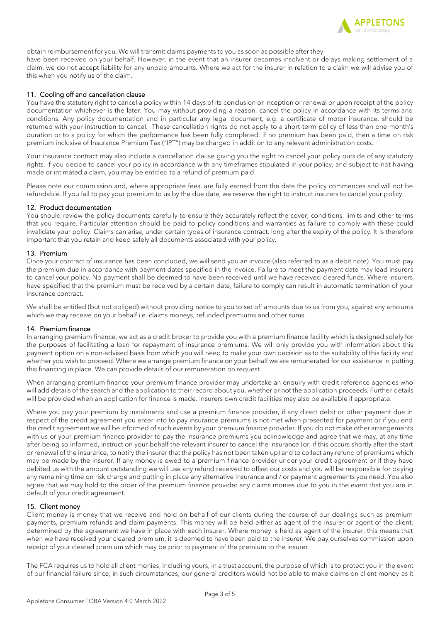

obtain reimbursement for you. We will transmit claims payments to you as soon as possible after they

have been received on your behalf. However, in the event that an insurer becomes insolvent or delays making settlement of a claim, we do not accept liability for any unpaid amounts. Where we act for the insurer in relation to a claim we will advise you of this when you notify us of the claim.

## 11. Cooling off and cancellation clause

You have the statutory right to cancel a policy within 14 days of its conclusion or inception or renewal or upon receipt of the policy documentation whichever is the later. You may without providing a reason, cancel the policy in accordance with its terms and conditions. Any policy documentation and in particular any legal document, e.g. a certificate of motor insurance, should be returned with your instruction to cancel. These cancellation rights do not apply to a short-term policy of less than one month's duration or to a policy for which the performance has been fully completed. If no premium has been paid, then a time on risk premium inclusive of Insurance Premium Tax ("IPT") may be charged in addition to any relevant administration costs.

Your insurance contract may also include a cancellation clause giving you the right to cancel your policy outside of any statutory rights. If you decide to cancel your policy in accordance with any timeframes stipulated in your policy, and subject to not having made or intimated a claim, you may be entitled to a refund of premium paid.

Please note our commission and, where appropriate fees, are fully earned from the date the policy commences and will not be refundable. If you fail to pay your premium to us by the due date, we reserve the right to instruct insurers to cancel your policy.

## 12. Product documentation

You should review the policy documents carefully to ensure they accurately reflect the cover, conditions, limits and other terms that you require. Particular attention should be paid to policy conditions and warranties as failure to comply with these could invalidate your policy. Claims can arise, under certain types of insurance contract, long after the expiry of the policy. It is therefore important that you retain and keep safely all documents associated with your policy.

## 13. Premium

Once your contract of insurance has been concluded, we will send you an invoice (also referred to as a debit note). You must pay the premium due in accordance with payment dates specified in the invoice. Failure to meet the payment date may lead insurers to cancel your policy. No payment shall be deemed to have been received until we have received cleared funds. Where insurers have specified that the premium must be received by a certain date, failure to comply can result in automatic termination of your insurance contract.

We shall be entitled (but not obliged) without providing notice to you to set off amounts due to us from you, against any amounts which we may receive on your behalf i.e. claims moneys, refunded premiums and other sums.

## 14. Premium finance

In arranging premium finance, we act as a credit broker to provide you with a premium finance facility which is designed solely for the purposes of facilitating a loan for repayment of insurance premiums. We will only provide you with information about this payment option on a non-advised basis from which you will need to make your own decision as to the suitability of this facility and whether you wish to proceed. Where we arrange premium finance on your behalf we are remunerated for our assistance in putting this financing in place. We can provide details of our remuneration on request.

When arranging premium finance your premium finance provider may undertake an enquiry with credit reference agencies who will add details of the search and the application to their record about you, whether or not the application proceeds. Further details will be provided when an application for finance is made. Insurers own credit facilities may also be available if appropriate.

Where you pay your premium by instalments and use a premium finance provider, if any direct debit or other payment due in respect of the credit agreement you enter into to pay insurance premiums is not met when presented for payment or if you end the credit agreement we will be informed of such events by your premium finance provider. If you do not make other arrangements with us or your premium finance provider to pay the insurance premiums you acknowledge and agree that we may, at any time after being so informed, instruct on your behalf the relevant insurer to cancel the insurance (or, if this occurs shortly after the start or renewal of the insurance, to notify the insurer that the policy has not been taken up) and to collect any refund of premiums which may be made by the insurer. If any money is owed to a premium finance provider under your credit agreement or if they have debited us with the amount outstanding we will use any refund received to offset our costs and you will be responsible for paying any remaining time on risk charge and putting in place any alternative insurance and / or payment agreements you need. You also agree that we may hold to the order of the premium finance provider any claims monies due to you in the event that you are in default of your credit agreement.

# 15. Client money

Client money is money that we receive and hold on behalf of our clients during the course of our dealings such as premium payments, premium refunds and claim payments. This money will be held either as agent of the insurer or agent of the client, determined by the agreement we have in place with each insurer. Where money is held as agent of the insurer, this means that when we have received your cleared premium, it is deemed to have been paid to the insurer. We pay ourselves commission upon receipt of your cleared premium which may be prior to payment of the premium to the insurer.

The FCA requires us to hold all client monies, including yours, in a trust account, the purpose of which is to protect you in the event of our financial failure since, in such circumstances; our general creditors would not be able to make claims on client money as it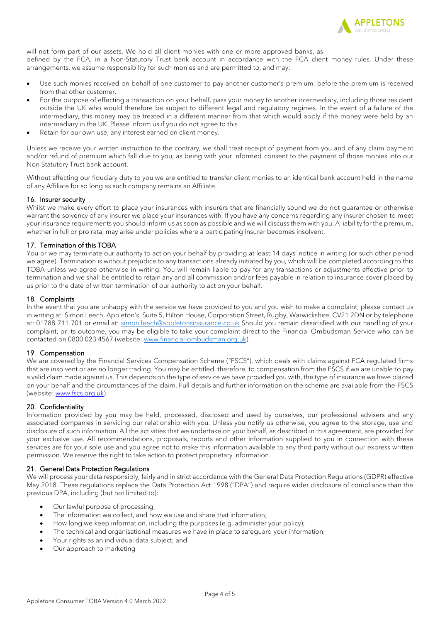

will not form part of our assets. We hold all client monies with one or more approved banks, as defined by the FCA, in a Non-Statutory Trust bank account in accordance with the FCA client money rules. Under these arrangements, we assume responsibility for such monies and are permitted to, and may:

- Use such monies received on behalf of one customer to pay another customer's premium, before the premium is received from that other customer.
- For the purpose of effecting a transaction on your behalf, pass your money to another intermediary, including those resident outside the UK who would therefore be subject to different legal and regulatory regimes. In the event of a failure of the intermediary, this money may be treated in a different manner from that which would apply if the money were held by an intermediary in the UK. Please inform us if you do not agree to this.
- Retain for our own use, any interest earned on client money.

Unless we receive your written instruction to the contrary, we shall treat receipt of payment from you and of any claim payment and/or refund of premium which fall due to you, as being with your informed consent to the payment of those monies into our Non Statutory Trust bank account.

Without affecting our fiduciary duty to you we are entitled to transfer client monies to an identical bank account held in the name of any Affiliate for so long as such company remains an Affiliate.

# 16. Insurer security

Whilst we make every effort to place your insurances with insurers that are financially sound we do not guarantee or otherwise warrant the solvency of any insurer we place your insurances with. If you have any concerns regarding any insurer chosen to meet your insurance requirements you should inform us as soon as possible and we will discuss them with you. A liability for the premium, whether in full or pro rata, may arise under policies where a participating insurer becomes insolvent.

## 17. Termination of this TOBA

You or we may terminate our authority to act on your behalf by providing at least 14 days' notice in writing (or such other period we agree). Termination is without prejudice to any transactions already initiated by you, which will be completed according to this TOBA unless we agree otherwise in writing. You will remain liable to pay for any transactions or adjustments effective prior to termination and we shall be entitled to retain any and all commission and/or fees payable in relation to insurance cover placed by us prior to the date of written termination of our authority to act on your behalf.

## 18. Complaints

In the event that you are unhappy with the service we have provided to you and you wish to make a complaint, please contact us in writing at: Simon Leech, Appleton's, Suite 5, Hilton House, Corporation Street, Rugby, Warwickshire, CV21 2DN or by telephone at: 01788 711 701 or email at: [simon.leech@appletonsinsurance.co.uk](mailto:simon.leech@appletonsinsurance.co.uk) Should you remain dissatisfied with our handling of your complaint, or its outcome, you may be eligible to take your complaint direct to the Financial Ombudsman Service who can be contacted on 0800 023 4567 (website[: www.financial-ombudsman.org.uk\)](http://www.financial-ombudsman.org.uk/).

## 19. Compensation

We are covered by the Financial Services Compensation Scheme ("FSCS"), which deals with claims against FCA regulated firms that are insolvent or are no longer trading. You may be entitled, therefore, to compensation from the FSCS if we are unable to pay a valid claim made against us. This depends on the type of service we have provided you with, the type of insurance we have placed on your behalf and the circumstances of the claim. Full details and further information on the scheme are available from the FSCS (website: [www.fscs.org.uk\)](http://www.fscs.org.uk/).

## 20. Confidentiality

Information provided by you may be held, processed, disclosed and used by ourselves, our professional advisers and any associated companies in servicing our relationship with you. Unless you notify us otherwise, you agree to the storage, use and disclosure of such information. All the activities that we undertake on your behalf, as described in this agreement, are provided for your exclusive use. All recommendations, proposals, reports and other information supplied to you in connection with these services are for your sole use and you agree not to make this information available to any third party without our express written permission. We reserve the right to take action to protect proprietary information.

## 21. General Data Protection Regulations

We will process your data responsibly, fairly and in strict accordance with the General Data Protection Regulations (GDPR) effective May 2018. These regulations replace the Data Protection Act 1998 ("DPA") and require wider disclosure of compliance than the previous DPA, including (but not limited to):

- Our lawful purpose of processing;
- The information we collect, and how we use and share that information:
- How long we keep information, including the purposes (e.g. administer your policy);
- The technical and organisational measures we have in place to safeguard your information;
- Your rights as an individual data subject; and
- Our approach to marketing